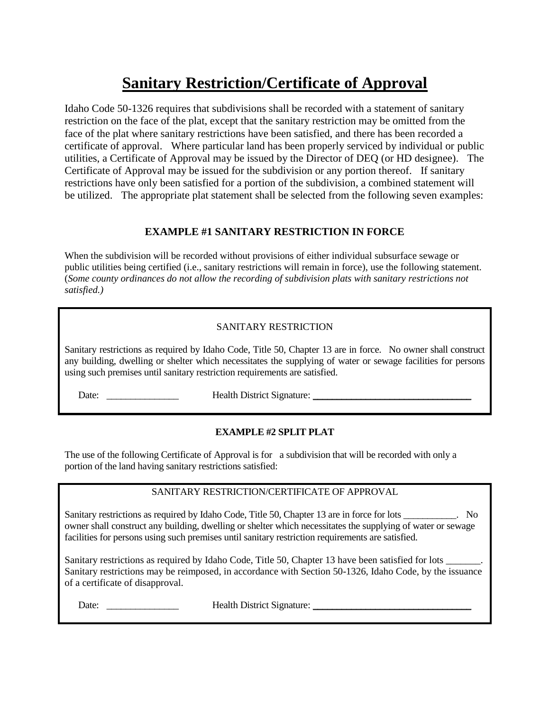# **Sanitary Restriction/Certificate of Approval**

Idaho Code 50-1326 requires that subdivisions shall be recorded with a statement of sanitary restriction on the face of the plat, except that the sanitary restriction may be omitted from the face of the plat where sanitary restrictions have been satisfied, and there has been recorded a certificate of approval. Where particular land has been properly serviced by individual or public utilities, a Certificate of Approval may be issued by the Director of DEQ (or HD designee). The Certificate of Approval may be issued for the subdivision or any portion thereof. If sanitary restrictions have only been satisfied for a portion of the subdivision, a combined statement will be utilized. The appropriate plat statement shall be selected from the following seven examples:

# **EXAMPLE #1 SANITARY RESTRICTION IN FORCE**

When the subdivision will be recorded without provisions of either individual subsurface sewage or public utilities being certified (i.e., sanitary restrictions will remain in force), use the following statement. (*Some county ordinances do not allow the recording of subdivision plats with sanitary restrictions not satisfied.)*

# SANITARY RESTRICTION

Sanitary restrictions as required by Idaho Code, Title 50, Chapter 13 are in force. No owner shall construct any building, dwelling or shelter which necessitates the supplying of water or sewage facilities for persons using such premises until sanitary restriction requirements are satisfied.

Date: \_\_\_\_\_\_\_\_\_\_\_\_\_\_\_ Health District Signature: \_\_\_\_\_\_\_\_\_\_\_\_\_\_\_\_\_\_\_\_\_\_\_\_\_\_\_\_\_\_\_\_\_

# **EXAMPLE #2 SPLIT PLAT**

The use of the following Certificate of Approval is for a subdivision that will be recorded with only a portion of the land having sanitary restrictions satisfied:

# SANITARY RESTRICTION/CERTIFICATE OF APPROVAL

Sanitary restrictions as required by Idaho Code, Title 50, Chapter 13 are in force for lots  $\sim$  No owner shall construct any building, dwelling or shelter which necessitates the supplying of water or sewage facilities for persons using such premises until sanitary restriction requirements are satisfied.

Sanitary restrictions as required by Idaho Code, Title 50, Chapter 13 have been satisfied for lots \_\_\_\_\_\_\_. Sanitary restrictions may be reimposed, in accordance with Section 50-1326, Idaho Code, by the issuance of a certificate of disapproval.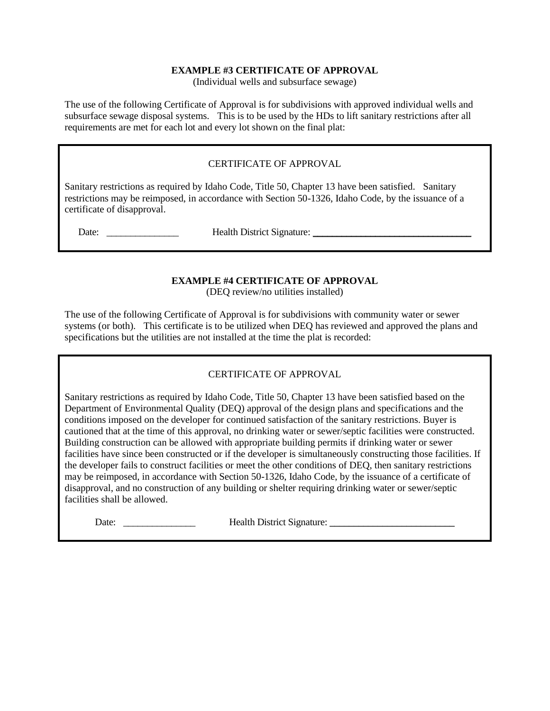#### **EXAMPLE #3 CERTIFICATE OF APPROVAL**

(Individual wells and subsurface sewage)

The use of the following Certificate of Approval is for subdivisions with approved individual wells and subsurface sewage disposal systems. This is to be used by the HDs to lift sanitary restrictions after all requirements are met for each lot and every lot shown on the final plat:

## CERTIFICATE OF APPROVAL

Sanitary restrictions as required by Idaho Code, Title 50, Chapter 13 have been satisfied. Sanitary restrictions may be reimposed, in accordance with Section 50-1326, Idaho Code, by the issuance of a certificate of disapproval.

Date: \_\_\_\_\_\_\_\_\_\_\_\_\_\_\_ Health District Signature: \_\_\_\_\_\_\_\_\_\_\_\_\_\_\_\_\_\_\_\_\_\_\_\_\_\_\_\_\_\_\_\_\_

# **EXAMPLE #4 CERTIFICATE OF APPROVAL**

(DEQ review/no utilities installed)

The use of the following Certificate of Approval is for subdivisions with community water or sewer systems (or both). This certificate is to be utilized when DEQ has reviewed and approved the plans and specifications but the utilities are not installed at the time the plat is recorded:

# CERTIFICATE OF APPROVAL

Sanitary restrictions as required by Idaho Code, Title 50, Chapter 13 have been satisfied based on the Department of Environmental Quality (DEQ) approval of the design plans and specifications and the conditions imposed on the developer for continued satisfaction of the sanitary restrictions. Buyer is cautioned that at the time of this approval, no drinking water or sewer/septic facilities were constructed. Building construction can be allowed with appropriate building permits if drinking water or sewer facilities have since been constructed or if the developer is simultaneously constructing those facilities. If the developer fails to construct facilities or meet the other conditions of DEQ, then sanitary restrictions may be reimposed, in accordance with Section 50-1326, Idaho Code, by the issuance of a certificate of disapproval, and no construction of any building or shelter requiring drinking water or sewer/septic facilities shall be allowed.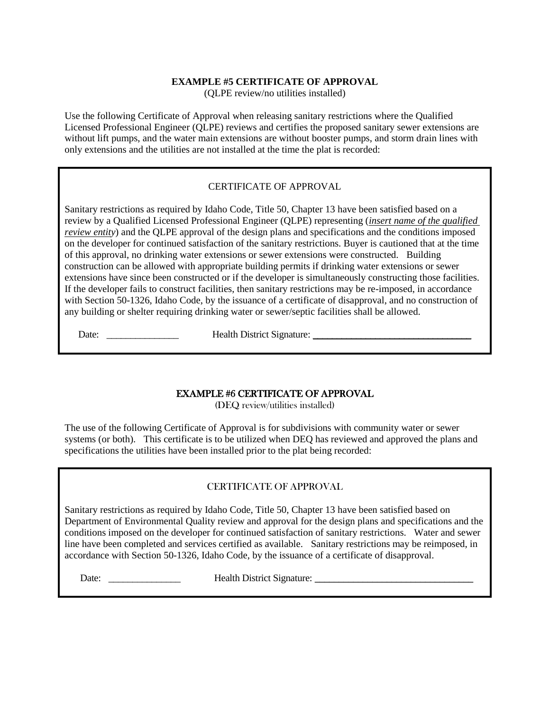#### **EXAMPLE #5 CERTIFICATE OF APPROVAL** (QLPE review/no utilities installed)

Use the following Certificate of Approval when releasing sanitary restrictions where the Qualified Licensed Professional Engineer (QLPE) reviews and certifies the proposed sanitary sewer extensions are without lift pumps, and the water main extensions are without booster pumps, and storm drain lines with only extensions and the utilities are not installed at the time the plat is recorded:

# CERTIFICATE OF APPROVAL

Sanitary restrictions as required by Idaho Code, Title 50, Chapter 13 have been satisfied based on a review by a Qualified Licensed Professional Engineer (QLPE) representing (*insert name of the qualified review entity*) and the QLPE approval of the design plans and specifications and the conditions imposed on the developer for continued satisfaction of the sanitary restrictions. Buyer is cautioned that at the time of this approval, no drinking water extensions or sewer extensions were constructed. Building construction can be allowed with appropriate building permits if drinking water extensions or sewer extensions have since been constructed or if the developer is simultaneously constructing those facilities. If the developer fails to construct facilities, then sanitary restrictions may be re-imposed, in accordance with Section 50-1326, Idaho Code, by the issuance of a certificate of disapproval, and no construction of any building or shelter requiring drinking water or sewer/septic facilities shall be allowed.

Date: \_\_\_\_\_\_\_\_\_\_\_\_\_\_\_ Health District Signature: \_\_\_\_\_\_\_\_\_\_\_\_\_\_\_\_\_\_\_\_\_\_\_\_\_\_\_\_\_\_\_\_\_

# EXAMPLE #6 CERTIFICATE OF APPROVAL

(DEQ review/utilities installed)

The use of the following Certificate of Approval is for subdivisions with community water or sewer systems (or both). This certificate is to be utilized when DEQ has reviewed and approved the plans and specifications the utilities have been installed prior to the plat being recorded:

# CERTIFICATE OF APPROVAL

Sanitary restrictions as required by Idaho Code, Title 50, Chapter 13 have been satisfied based on Department of Environmental Quality review and approval for the design plans and specifications and the conditions imposed on the developer for continued satisfaction of sanitary restrictions. Water and sewer line have been completed and services certified as available. Sanitary restrictions may be reimposed, in accordance with Section 50-1326, Idaho Code, by the issuance of a certificate of disapproval.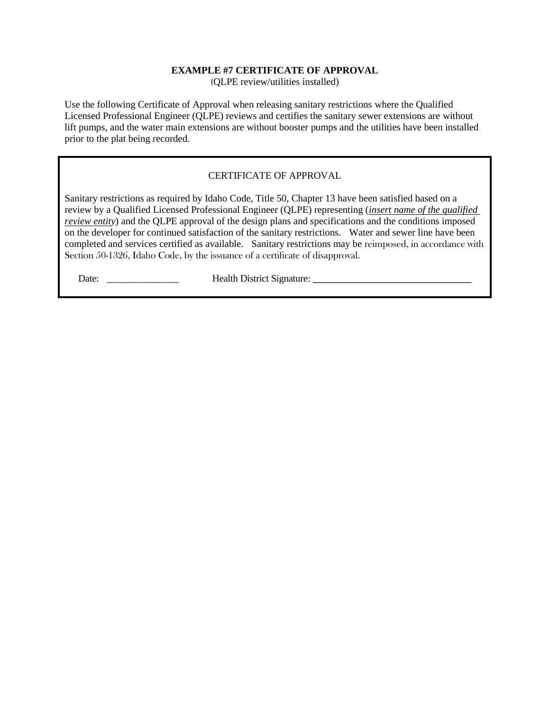## **EXAMPLE #7 CERTIFICATE OF APPROVAL**

(QLPE review/utilities installed)

Use the following Certificate of Approval when releasing sanitary restrictions where the Qualified Licensed Professional Engineer (QLPE) reviews and certifies the sanitary sewer extensions are without lift pumps, and the water main extensions are without booster pumps and the utilities have been installed prior to the plat being recorded.

## CERTIFICATE OF APPROVAL

Sanitary restrictions as required by Idaho Code, Title 50, Chapter 13 have been satisfied based on a review by a Qualified Licensed Professional Engineer (QLPE) representing (*insert name of the qualified review entity*) and the QLPE approval of the design plans and specifications and the conditions imposed on the developer for continued satisfaction of the sanitary restrictions. Water and sewer line have been completed and services certified as available. Sanitary restrictions may be reimposed, in accordance with Section 50-1326, Idaho Code, by the issuance of a certificate of disapproval.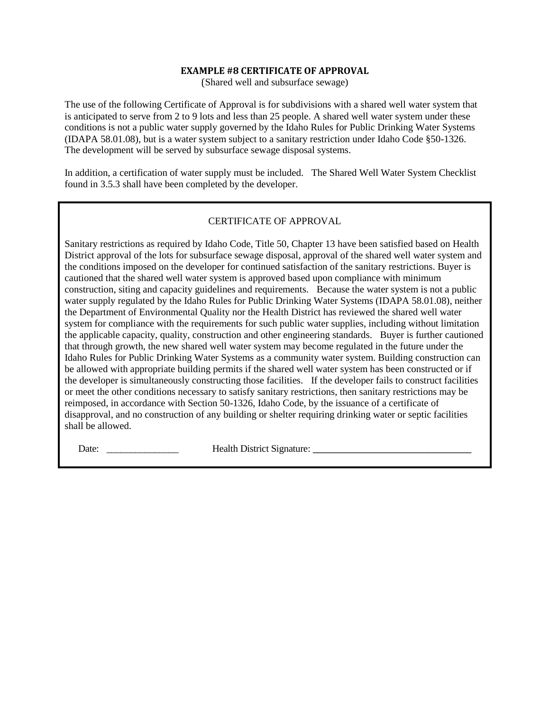#### **EXAMPLE #8 CERTIFICATE OF APPROVAL**

(Shared well and subsurface sewage)

The use of the following Certificate of Approval is for subdivisions with a shared well water system that is anticipated to serve from 2 to 9 lots and less than 25 people. A shared well water system under these conditions is not a public water supply governed by the Idaho Rules for Public Drinking Water Systems (IDAPA 58.01.08), but is a water system subject to a sanitary restriction under Idaho Code §50-1326. The development will be served by subsurface sewage disposal systems.

In addition, a certification of water supply must be included. The Shared Well Water System Checklist found in 3.5.3 shall have been completed by the developer.

## CERTIFICATE OF APPROVAL

Sanitary restrictions as required by Idaho Code, Title 50, Chapter 13 have been satisfied based on Health District approval of the lots for subsurface sewage disposal, approval of the shared well water system and the conditions imposed on the developer for continued satisfaction of the sanitary restrictions. Buyer is cautioned that the shared well water system is approved based upon compliance with minimum construction, siting and capacity guidelines and requirements. Because the water system is not a public water supply regulated by the Idaho Rules for Public Drinking Water Systems (IDAPA 58.01.08), neither the Department of Environmental Quality nor the Health District has reviewed the shared well water system for compliance with the requirements for such public water supplies, including without limitation the applicable capacity, quality, construction and other engineering standards. Buyer is further cautioned that through growth, the new shared well water system may become regulated in the future under the Idaho Rules for Public Drinking Water Systems as a community water system. Building construction can be allowed with appropriate building permits if the shared well water system has been constructed or if the developer is simultaneously constructing those facilities. If the developer fails to construct facilities or meet the other conditions necessary to satisfy sanitary restrictions, then sanitary restrictions may be reimposed, in accordance with Section 50-1326, Idaho Code, by the issuance of a certificate of disapproval, and no construction of any building or shelter requiring drinking water or septic facilities shall be allowed.